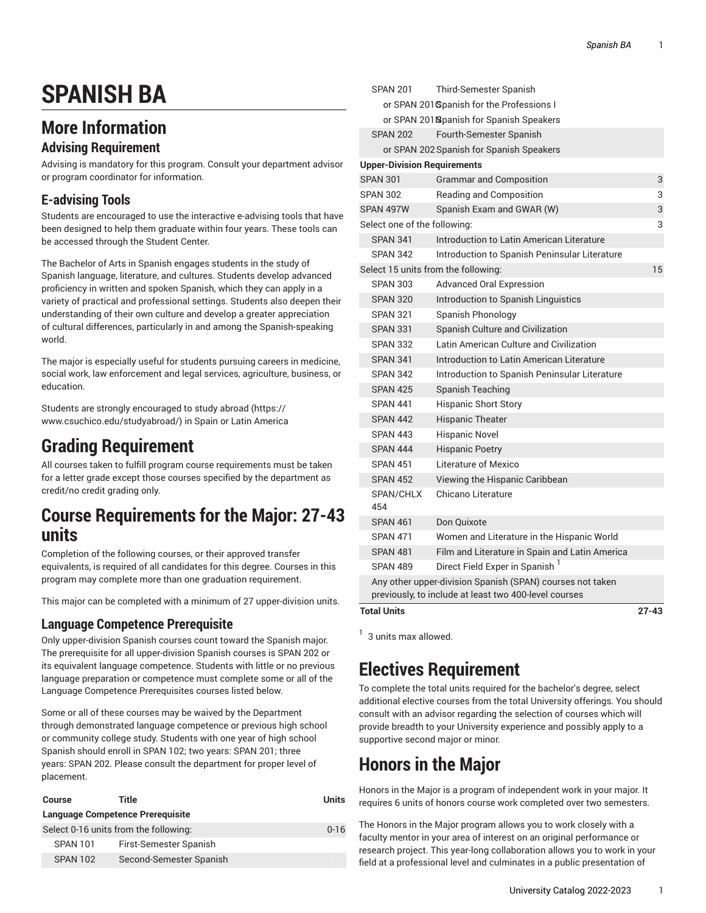# **SPANISH BA**

## **More Information**

### **Advising Requirement**

Advising is mandatory for this program. Consult your department advisor or program coordinator for information.

### **E-advising Tools**

Students are encouraged to use the interactive e-advising tools that have been designed to help them graduate within four years. These tools can be accessed through the Student Center.

The Bachelor of Arts in Spanish engages students in the study of Spanish language, literature, and cultures. Students develop advanced proficiency in written and spoken Spanish, which they can apply in a variety of practical and professional settings. Students also deepen their understanding of their own culture and develop a greater appreciation of cultural differences, particularly in and among the Spanish-speaking world.

The major is especially useful for students pursuing careers in medicine, social work, law enforcement and legal services, agriculture, business, or education.

Students are strongly encouraged to study [abroad](https://www.csuchico.edu/studyabroad/) ([https://](https://www.csuchico.edu/studyabroad/) [www.csuchico.edu/studyabroad/](https://www.csuchico.edu/studyabroad/)) in Spain or Latin America

## **Grading Requirement**

All courses taken to fulfill program course requirements must be taken for a letter grade except those courses specified by the department as credit/no credit grading only.

### **Course Requirements for the Major: 27-43 units**

Completion of the following courses, or their approved transfer equivalents, is required of all candidates for this degree. Courses in this program may complete more than one graduation requirement.

This major can be completed with a minimum of 27 upper-division units.

### **Language Competence Prerequisite**

Only upper-division Spanish courses count toward the Spanish major. The prerequisite for all upper-division Spanish courses is SPAN 202 or its equivalent language competence. Students with little or no previous language preparation or competence must complete some or all of the Language Competence Prerequisites courses listed below.

Some or all of these courses may be waived by the Department through demonstrated language competence or previous high school or community college study. Students with one year of high school Spanish should enroll in SPAN 102; two years: SPAN 201; three years: SPAN 202. Please consult the department for proper level of placement.

| Course                                  | Title                   | Units |  |  |
|-----------------------------------------|-------------------------|-------|--|--|
| <b>Language Competence Prerequisite</b> |                         |       |  |  |
| Select 0-16 units from the following:   |                         |       |  |  |
| <b>SPAN 101</b>                         | First-Semester Spanish  |       |  |  |
| <b>SPAN 102</b>                         | Second-Semester Spanish |       |  |  |

| <b>SPAN 201</b>                           |  | Third-Semester Spanish                                    |           |  |
|-------------------------------------------|--|-----------------------------------------------------------|-----------|--|
| or SPAN 201 Spanish for the Professions I |  |                                                           |           |  |
|                                           |  | or SPAN 201 Spanish for Spanish Speakers                  |           |  |
| <b>SPAN 202</b>                           |  | Fourth-Semester Spanish                                   |           |  |
|                                           |  | or SPAN 202 Spanish for Spanish Speakers                  |           |  |
|                                           |  | <b>Upper-Division Requirements</b>                        |           |  |
| <b>SPAN 301</b>                           |  | <b>Grammar and Composition</b>                            | 3         |  |
| <b>SPAN 302</b>                           |  | Reading and Composition                                   | 3         |  |
| SPAN 497W                                 |  | Spanish Exam and GWAR (W)                                 | 3         |  |
| Select one of the following:<br>3         |  |                                                           |           |  |
| <b>SPAN 341</b>                           |  | Introduction to Latin American Literature                 |           |  |
| <b>SPAN 342</b>                           |  | Introduction to Spanish Peninsular Literature             |           |  |
| Select 15 units from the following:       |  |                                                           | 15        |  |
| <b>SPAN 303</b>                           |  | <b>Advanced Oral Expression</b>                           |           |  |
| <b>SPAN 320</b>                           |  | Introduction to Spanish Linguistics                       |           |  |
| <b>SPAN 321</b>                           |  | Spanish Phonology                                         |           |  |
| <b>SPAN 331</b>                           |  | Spanish Culture and Civilization                          |           |  |
| <b>SPAN 332</b>                           |  | Latin American Culture and Civilization                   |           |  |
| <b>SPAN 341</b>                           |  | Introduction to Latin American Literature                 |           |  |
| <b>SPAN 342</b>                           |  | Introduction to Spanish Peninsular Literature             |           |  |
| <b>SPAN 425</b>                           |  | Spanish Teaching                                          |           |  |
| <b>SPAN 441</b>                           |  | <b>Hispanic Short Story</b>                               |           |  |
| <b>SPAN 442</b>                           |  | <b>Hispanic Theater</b>                                   |           |  |
| <b>SPAN 443</b>                           |  | <b>Hispanic Novel</b>                                     |           |  |
| <b>SPAN 444</b>                           |  | <b>Hispanic Poetry</b>                                    |           |  |
| <b>SPAN 451</b>                           |  | Literature of Mexico                                      |           |  |
| <b>SPAN 452</b>                           |  | Viewing the Hispanic Caribbean                            |           |  |
| SPAN/CHLX<br>454                          |  | Chicano Literature                                        |           |  |
| <b>SPAN 461</b>                           |  | Don Quixote                                               |           |  |
| <b>SPAN 471</b>                           |  | Women and Literature in the Hispanic World                |           |  |
| <b>SPAN 481</b>                           |  | Film and Literature in Spain and Latin America            |           |  |
| <b>SPAN 489</b>                           |  | Direct Field Exper in Spanish 1                           |           |  |
|                                           |  | Any other upper-division Spanish (SPAN) courses not taken |           |  |
|                                           |  | previously, to include at least two 400-level courses     |           |  |
| Total Units                               |  |                                                           | $27 - 43$ |  |

 $<sup>1</sup>$  3 units max allowed.</sup>

## **Electives Requirement**

To complete the total units required for the bachelor's degree, select additional elective courses from the total University offerings. You should consult with an advisor regarding the selection of courses which will provide breadth to your University experience and possibly apply to a supportive second major or minor.

## **Honors in the Major**

Honors in the Major is a program of independent work in your major. It requires 6 units of honors course work completed over two semesters.

The Honors in the Major program allows you to work closely with a faculty mentor in your area of interest on an original performance or research project. This year-long collaboration allows you to work in your field at a professional level and culminates in a public presentation of